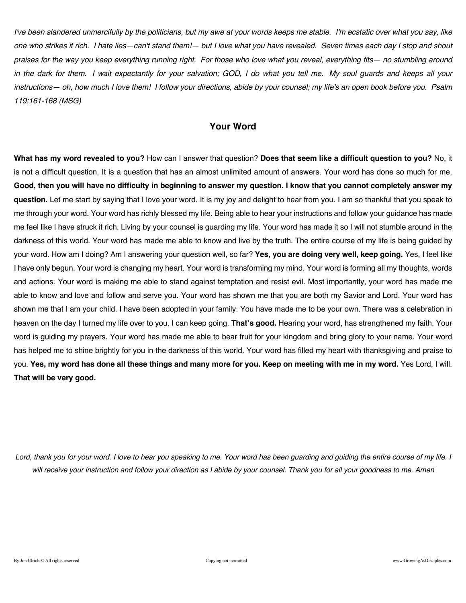*I've been slandered unmercifully by the politicians, but my awe at your words keeps me stable. I'm ecstatic over what you say, like one who strikes it rich. I hate lies—can't stand them!— but I love what you have revealed. Seven times each day I stop and shout praises for the way you keep everything running right. For those who love what you reveal, everything fits— no stumbling around in the dark for them. I wait expectantly for your salvation; GOD, I do what you tell me. My soul guards and keeps all your instructions— oh, how much I love them! I follow your directions, abide by your counsel; my life's an open book before you. Psalm 119:161-168 (MSG)* 

# **Your Word**

**What has my word revealed to you?** How can I answer that question? **Does that seem like a difficult question to you?** No, it is not a difficult question. It is a question that has an almost unlimited amount of answers. Your word has done so much for me. **Good, then you will have no difficulty in beginning to answer my question. I know that you cannot completely answer my question.** Let me start by saying that I love your word. It is my joy and delight to hear from you. I am so thankful that you speak to me through your word. Your word has richly blessed my life. Being able to hear your instructions and follow your guidance has made me feel like I have struck it rich. Living by your counsel is guarding my life. Your word has made it so I will not stumble around in the darkness of this world. Your word has made me able to know and live by the truth. The entire course of my life is being guided by your word. How am I doing? Am I answering your question well, so far? **Yes, you are doing very well, keep going.** Yes, I feel like I have only begun. Your word is changing my heart. Your word is transforming my mind. Your word is forming all my thoughts, words and actions. Your word is making me able to stand against temptation and resist evil. Most importantly, your word has made me able to know and love and follow and serve you. Your word has shown me that you are both my Savior and Lord. Your word has shown me that I am your child. I have been adopted in your family. You have made me to be your own. There was a celebration in heaven on the day I turned my life over to you. I can keep going. **That's good.** Hearing your word, has strengthened my faith. Your word is guiding my prayers. Your word has made me able to bear fruit for your kingdom and bring glory to your name. Your word has helped me to shine brightly for you in the darkness of this world. Your word has filled my heart with thanksgiving and praise to you. **Yes, my word has done all these things and many more for you. Keep on meeting with me in my word.** Yes Lord, I will. **That will be very good.**

*Lord, thank you for your word. I love to hear you speaking to me. Your word has been guarding and guiding the entire course of my life. I will receive your instruction and follow your direction as I abide by your counsel. Thank you for all your goodness to me. Amen*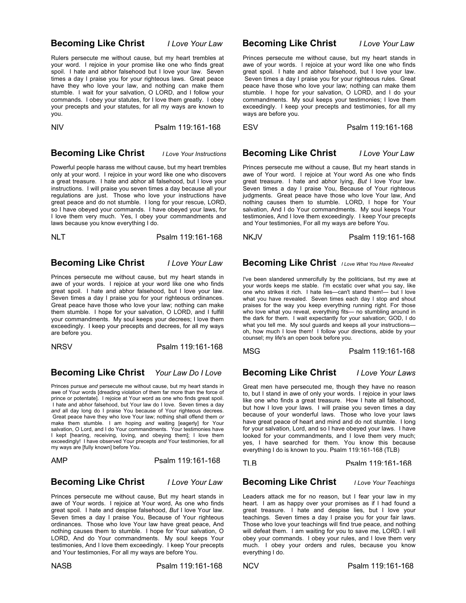### **Becoming Like Christ** *I Love Your Law*

Rulers persecute me without cause, but my heart trembles at your word. I rejoice in your promise like one who finds great spoil. I hate and abhor falsehood but I love your law. Seven times a day I praise you for your righteous laws. Great peace have they who love your law, and nothing can make them stumble. I wait for your salvation, O LORD, and I follow your commands. I obey your statutes, for I love them greatly. I obey your precepts and your statutes, for all my ways are known to you.

NIV Psalm 119:161-168

### **Becoming Like Christ** *I Love Your Instructions*

Powerful people harass me without cause, but my heart trembles only at your word. I rejoice in your word like one who discovers a great treasure. I hate and abhor all falsehood, but I love your instructions. I will praise you seven times a day because all your regulations are just. Those who love your instructions have great peace and do not stumble. I long for your rescue, LORD, so I have obeyed your commands. I have obeyed your laws, for I love them very much. Yes, I obey your commandments and laws because you know everything I do.

NLT Psalm 119:161-168

### **Becoming Like Christ** *I Love Your Law*

Princes persecute me without cause, but my heart stands in awe of your words. I rejoice at your word like one who finds great spoil. I hate and abhor falsehood, but I love your law. Seven times a day I praise you for your righteous ordinances. Great peace have those who love your law; nothing can make them stumble. I hope for your salvation, O LORD, and I fulfill your commandments. My soul keeps your decrees; I love them exceedingly. I keep your precepts and decrees, for all my ways are before you.

NRSV Psalm 119:161-168

# **Becoming Like Christ** *Your Law Do I Love*

Princes pursue *and* persecute me without cause, but my heart stands in awe of Your words [dreading violation of them far more than the force of prince or potentate]. I rejoice at Your word as one who finds great spoil. I hate and abhor falsehood, but Your law do I love. Seven times a day *and* all day long do I praise You because of Your righteous decrees. Great peace have they who love Your law; nothing shall offend them *or* make them stumble. I am hoping *and* waiting [eagerly] for Your salvation, O Lord, and I do Your commandments. Your testimonies have I kept [hearing, receiving, loving, and obeying them]; I love them exceedingly! I have observed Your precepts *and* Your testimonies, for all my ways are [fully known] before You.

| AMP | Psalm 119:161-168 |
|-----|-------------------|
|     |                   |

### **Becoming Like Christ** *I Love Your Law*

Princes persecute me without cause, But my heart stands in awe of Your words. I rejoice at Your word, As one who finds great spoil. I hate and despise falsehood, *But* I love Your law. Seven times a day I praise You, Because of Your righteous ordinances. Those who love Your law have great peace, And nothing causes them to stumble. I hope for Your salvation, O LORD, And do Your commandments. My soul keeps Your testimonies, And I love them exceedingly. I keep Your precepts and Your testimonies, For all my ways are before You.

### **Becoming Like Christ** *I Love Your Law*

Princes persecute me without cause, but my heart stands in awe of your words. I rejoice at your word like one who finds great spoil. I hate and abhor falsehood, but I love your law. Seven times a day I praise you for your righteous rules. Great peace have those who love your law; nothing can make them stumble. I hope for your salvation, O LORD, and I do your commandments. My soul keeps your testimonies; I love them exceedingly. I keep your precepts and testimonies, for all my ways are before you.

ESV Psalm 119:161-168

### **Becoming Like Christ** *I Love Your Law*

Princes persecute me without a cause, But my heart stands in awe of Your word. I rejoice at Your word As one who finds great treasure. I hate and abhor lying, *But* I love Your law. Seven times a day I praise You, Because of Your righteous judgments. Great peace have those who love Your law, And nothing causes them to stumble. LORD, I hope for Your salvation, And I do Your commandments. My soul keeps Your testimonies, And I love them exceedingly. I keep Your precepts and Your testimonies, For all my ways *are* before You.

### NKJVPsalm 119:161-168

# **Becoming Like Christ** *I Love What You Have Revealed*

I've been slandered unmercifully by the politicians, but my awe at your words keeps me stable. I'm ecstatic over what you say, like one who strikes it rich. I hate lies—can't stand them!— but I love what you have revealed. Seven times each day I stop and shout praises for the way you keep everything running right. For those who love what you reveal, everything fits— no stumbling around in the dark for them. I wait expectantly for your salvation; GOD, I do what you tell me. My soul guards and keeps all your instructions oh, how much I love them! I follow your directions, abide by your counsel; my life's an open book before you.

MSG **Psalm 119:161-168** 

## **Becoming Like Christ** *I Love Your Laws*

Great men have persecuted me, though they have no reason to, but I stand in awe of only your words. I rejoice in your laws like one who finds a great treasure. How I hate all falsehood, but how I love your laws. I will praise you seven times a day because of your wonderful laws. Those who love your laws have great peace of heart and mind and do not stumble. I long for your salvation, Lord, and so I have obeyed your laws. I have looked for your commandments, and I love them very much; yes, I have searched for them. You know this because everything I do is known to you. Psalm 119:161-168 (TLB)

TLB Psalm 119:161-168

### **Becoming Like Christ** *I Love Your Teachings*

Leaders attack me for no reason, but I fear your law in my heart. I am as happy over your promises as if I had found a great treasure. I hate and despise lies, but I love your teachings. Seven times a day I praise you for your fair laws. Those who love your teachings will find true peace, and nothing will defeat them. I am waiting for you to save me, LORD. I will obey your commands. I obey your rules, and I love them very much. I obey your orders and rules, because you know everything I do.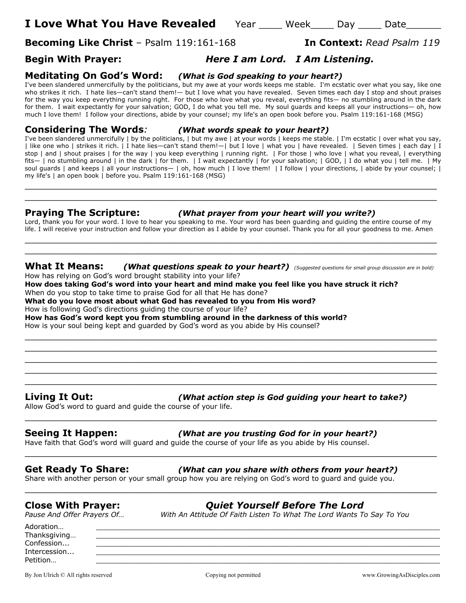**I Love What You Have Revealed** Year Week Day Date

**Becoming Like Christ** – Psalm 119:161-168 **In Context:** *Read Psalm 119*

# **Begin With Prayer:** *Here I am Lord. I Am Listening.*

# **Meditating On God's Word:** *(What is God speaking to your heart?)*

I've been slandered unmercifully by the politicians, but my awe at your words keeps me stable. I'm ecstatic over what you say, like one who strikes it rich. I hate lies—can't stand them!— but I love what you have revealed. Seven times each day I stop and shout praises for the way you keep everything running right. For those who love what you reveal, everything fits— no stumbling around in the dark for them. I wait expectantly for your salvation; GOD, I do what you tell me. My soul guards and keeps all your instructions— oh, how much I love them! I follow your directions, abide by your counsel; my life's an open book before you. Psalm 119:161-168 (MSG)

### **Considering The Words***: (What words speak to your heart?)*

I've been slandered unmercifully | by the politicians, | but my awe | at your words | keeps me stable. | I'm ecstatic | over what you say, | like one who | strikes it rich. | I hate lies—can't stand them!—| but I love | what you | have revealed. | Seven times | each day | I stop | and | shout praises | for the way | you keep everything | running right. | For those | who love | what you reveal, | everything fits— | no stumbling around | in the dark | for them. | I wait expectantly | for your salvation; | GOD, | I do what you | tell me. | My soul guards | and keeps | all your instructions— | oh, how much | I love them! | I follow | your directions, | abide by your counsel; | my life's | an open book | before you. Psalm 119:161-168 (MSG)

### **Praying The Scripture:** *(What prayer from your heart will you write?)*

Lord, thank you for your word. I love to hear you speaking to me. Your word has been guarding and guiding the entire course of my life. I will receive your instruction and follow your direction as I abide by your counsel. Thank you for all your goodness to me. Amen \_\_\_\_\_\_\_\_\_\_\_\_\_\_\_\_\_\_\_\_\_\_\_\_\_\_\_\_\_\_\_\_\_\_\_\_\_\_\_\_\_\_\_\_\_\_\_\_\_\_\_\_\_\_\_\_\_\_\_\_\_\_\_\_\_\_\_\_\_\_\_

 $\_$  , and the contribution of the contribution of  $\mathcal{L}$  , and  $\mathcal{L}$  , and  $\mathcal{L}$  , and  $\mathcal{L}$  , and  $\mathcal{L}$  , and  $\mathcal{L}$  , and  $\mathcal{L}$  , and  $\mathcal{L}$  , and  $\mathcal{L}$  , and  $\mathcal{L}$  , and  $\mathcal{L}$  , and  $\mathcal{L$ \_\_\_\_\_\_\_\_\_\_\_\_\_\_\_\_\_\_\_\_\_\_\_\_\_\_\_\_\_\_\_\_\_\_\_\_\_\_\_\_\_\_\_\_\_\_\_\_\_\_\_\_\_\_\_\_\_\_\_\_\_\_\_\_\_\_\_\_\_\_\_

# **What It Means:** *(What questions speak to your heart?) (Suggested questions for small group discussion are in bold)*

\_\_\_\_\_\_\_\_\_\_\_\_\_\_\_\_\_\_\_\_\_\_\_\_\_\_\_\_\_\_\_\_\_\_\_\_\_\_\_\_\_\_\_\_\_\_\_\_\_\_\_\_\_\_\_\_\_\_\_\_\_\_\_\_\_\_\_\_\_\_\_ \_\_\_\_\_\_\_\_\_\_\_\_\_\_\_\_\_\_\_\_\_\_\_\_\_\_\_\_\_\_\_\_\_\_\_\_\_\_\_\_\_\_\_\_\_\_\_\_\_\_\_\_\_\_\_\_\_\_\_\_\_\_\_\_\_\_\_\_\_\_\_ \_\_\_\_\_\_\_\_\_\_\_\_\_\_\_\_\_\_\_\_\_\_\_\_\_\_\_\_\_\_\_\_\_\_\_\_\_\_\_\_\_\_\_\_\_\_\_\_\_\_\_\_\_\_\_\_\_\_\_\_\_\_\_\_\_\_\_\_\_\_\_ \_\_\_\_\_\_\_\_\_\_\_\_\_\_\_\_\_\_\_\_\_\_\_\_\_\_\_\_\_\_\_\_\_\_\_\_\_\_\_\_\_\_\_\_\_\_\_\_\_\_\_\_\_\_\_\_\_\_\_\_\_\_\_\_\_\_\_\_\_\_\_ \_\_\_\_\_\_\_\_\_\_\_\_\_\_\_\_\_\_\_\_\_\_\_\_\_\_\_\_\_\_\_\_\_\_\_\_\_\_\_\_\_\_\_\_\_\_\_\_\_\_\_\_\_\_\_\_\_\_\_\_\_\_\_\_\_\_\_\_\_\_\_

\_\_\_\_\_\_\_\_\_\_\_\_\_\_\_\_\_\_\_\_\_\_\_\_\_\_\_\_\_\_\_\_\_\_\_\_\_\_\_\_\_\_\_\_\_\_\_\_\_\_\_\_\_\_\_\_\_\_\_\_\_\_\_\_\_\_\_\_\_\_\_

\_\_\_\_\_\_\_\_\_\_\_\_\_\_\_\_\_\_\_\_\_\_\_\_\_\_\_\_\_\_\_\_\_\_\_\_\_\_\_\_\_\_\_\_\_\_\_\_\_\_\_\_\_\_\_\_\_\_\_\_\_\_\_\_\_\_\_\_\_\_\_

\_\_\_\_\_\_\_\_\_\_\_\_\_\_\_\_\_\_\_\_\_\_\_\_\_\_\_\_\_\_\_\_\_\_\_\_\_\_\_\_\_\_\_\_\_\_\_\_\_\_\_\_\_\_\_\_\_\_\_\_\_\_\_\_\_\_\_\_\_\_\_

\_\_\_\_\_\_\_\_\_\_\_\_\_\_\_\_\_\_\_\_\_\_\_\_\_\_\_\_\_\_\_\_\_\_\_\_\_\_\_\_\_\_\_\_\_\_\_\_\_\_\_\_\_\_\_\_\_\_\_\_\_\_\_\_\_\_\_\_\_\_\_

How has relying on God's word brought stability into your life?

**How does taking God's word into your heart and mind make you feel like you have struck it rich?** When do you stop to take time to praise God for all that He has done?

**What do you love most about what God has revealed to you from His word?**

How is following God's directions guiding the course of your life?

**How has God's word kept you from stumbling around in the darkness of this world?** How is your soul being kept and guarded by God's word as you abide by His counsel?

### **Living It Out:** *(What action step is God guiding your heart to take?)*

Allow God's word to guard and guide the course of your life.

### **Seeing It Happen:** *(What are you trusting God for in your heart?)*

Have faith that God's word will guard and guide the course of your life as you abide by His counsel.

### **Get Ready To Share:** *(What can you share with others from your heart?)*

Share with another person or your small group how you are relying on God's word to guard and guide you.

**Close With Prayer:** *Quiet Yourself Before The Lord*

*With An Attitude Of Faith Listen To What The Lord Wants To Say To You* 

Adoration… \_\_\_\_\_\_\_\_\_\_\_\_\_\_\_\_\_\_\_\_\_\_\_\_\_\_\_\_\_\_\_\_\_\_\_\_\_\_\_\_\_\_\_\_\_\_\_\_\_\_\_\_\_\_\_\_\_\_\_\_\_\_\_\_\_\_\_\_\_\_\_\_\_\_\_\_\_\_\_ Thanksgiving...  $\textsf{Confession...}\qquad \qquad \underline{\hspace{2.5cm}}$ Intercession... Petition… \_\_\_\_\_\_\_\_\_\_\_\_\_\_\_\_\_\_\_\_\_\_\_\_\_\_\_\_\_\_\_\_\_\_\_\_\_\_\_\_\_\_\_\_\_\_\_\_\_\_\_\_\_\_\_\_\_\_\_\_\_\_\_\_\_\_\_\_\_\_\_\_\_\_\_\_\_\_\_

By Jon Ulrich © All rights reserved compared copying not permitted www.GrowingAsDisciples.com